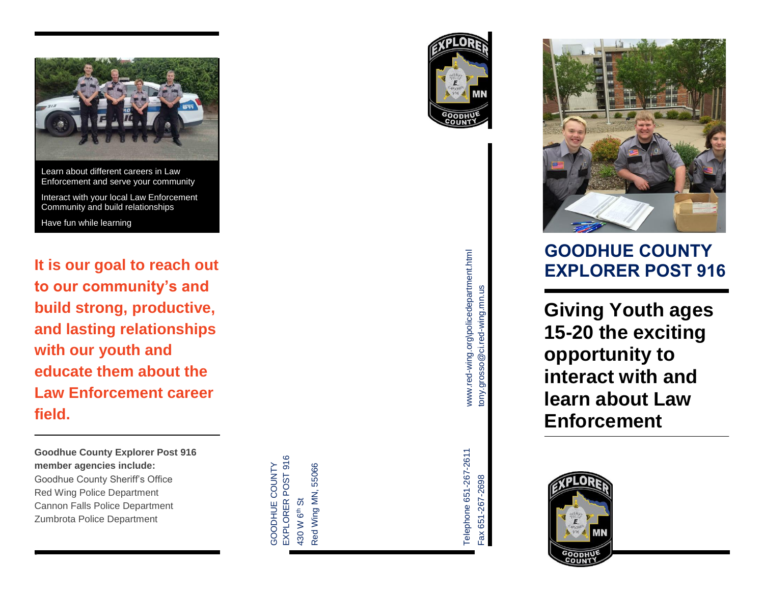

Community and build relationships

Have fun while learning

**It is our goal to reach out to our community's and build strong, productive, and lasting relationships with our youth and educate them about the Law Enforcement career field.**

**Goodhue County Explorer Post 916 member agencies include:**  Goodhue County Sheriff's Office Red Wing Police Department Cannon Falls Police Department Zumbrota Police Department

r

EXPLORER POST 916 EXPLORER POST 916 SHOOD HUHQOOD Red Wing MN, 55066 Red Wing MN, 55066 **GOODHUE COUNTY** 430 W 6th St 130 W 6<sup>th</sup> St







Telephone 651-267-2611

Telephone 651-267-2611



# **GOODHUE COUNTY EXPLORER POST 916**

**Giving Youth ages 15-20 the exciting opportunity to interact with and learn about Law Enforcement**